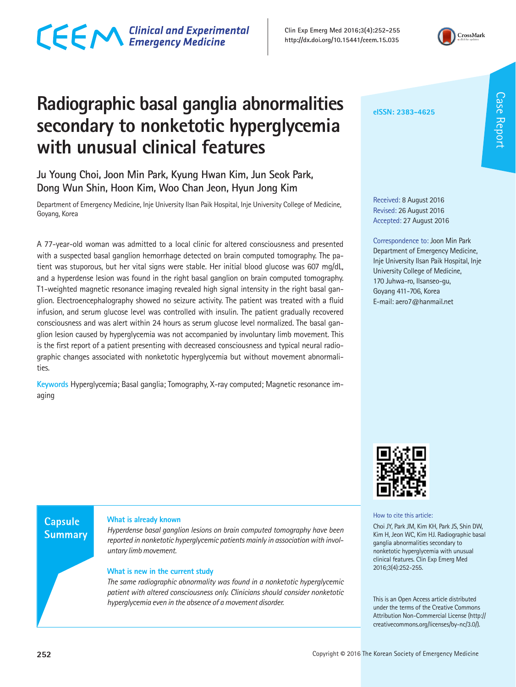## CECM Clinical and Experimental

**Clin Exp Emerg Med 2016;3(4):252-255 http://dx.doi.org/10.15441/ceem.15.035**



### **Radiographic basal ganglia abnormalities secondary to nonketotic hyperglycemia with unusual clinical features**

**Ju Young Choi, Joon Min Park, Kyung Hwan Kim, Jun Seok Park, Dong Wun Shin, Hoon Kim, Woo Chan Jeon, Hyun Jong Kim**

Department of Emergency Medicine, Inje University Ilsan Paik Hospital, Inje University College of Medicine, Goyang, Korea

A 77-year-old woman was admitted to a local clinic for altered consciousness and presented with a suspected basal ganglion hemorrhage detected on brain computed tomography. The patient was stuporous, but her vital signs were stable. Her initial blood glucose was 607 mg/dL, and a hyperdense lesion was found in the right basal ganglion on brain computed tomography. T1-weighted magnetic resonance imaging revealed high signal intensity in the right basal ganglion. Electroencephalography showed no seizure activity. The patient was treated with a fluid infusion, and serum glucose level was controlled with insulin. The patient gradually recovered consciousness and was alert within 24 hours as serum glucose level normalized. The basal ganglion lesion caused by hyperglycemia was not accompanied by involuntary limb movement. This is the first report of a patient presenting with decreased consciousness and typical neural radiographic changes associated with nonketotic hyperglycemia but without movement abnormalities.

**Keywords** Hyperglycemia; Basal ganglia; Tomography, X-ray computed; Magnetic resonance imaging

**eISSN: 2383-4625**

Received: 8 August 2016 Revised: 26 August 2016 Accepted: 27 August 2016

Correspondence to: Joon Min Park Department of Emergency Medicine, Inje University Ilsan Paik Hospital, Inje University College of Medicine, 170 Juhwa-ro, Ilsanseo-gu, Goyang 411-706, Korea E-mail: aero7@hanmail.net



How to cite this article:

Choi JY, Park JM, Kim KH, Park JS, Shin DW, Kim H, Jeon WC, Kim HJ. Radiographic basal ganglia abnormalities secondary to nonketotic hyperglycemia with unusual clinical features. Clin Exp Emerg Med 2016;3(4):252-255.

This is an Open Access article distributed under the terms of the Creative Commons Attribution Non-Commercial License (http:// creativecommons.org/licenses/by-nc/3.0/).

Case Report Case Report



#### **What is already known**

*Hyperdense basal ganglion lesions on brain computed tomography have been reported in nonketotic hyperglycemic patients mainly in association with involuntary limb movement.*

#### **What is new in the current study**

*The same radiographic abnormality was found in a nonketotic hyperglycemic patient with altered consciousness only. Clinicians should consider nonketotic hyperglycemia even in the absence of a movement disorder.*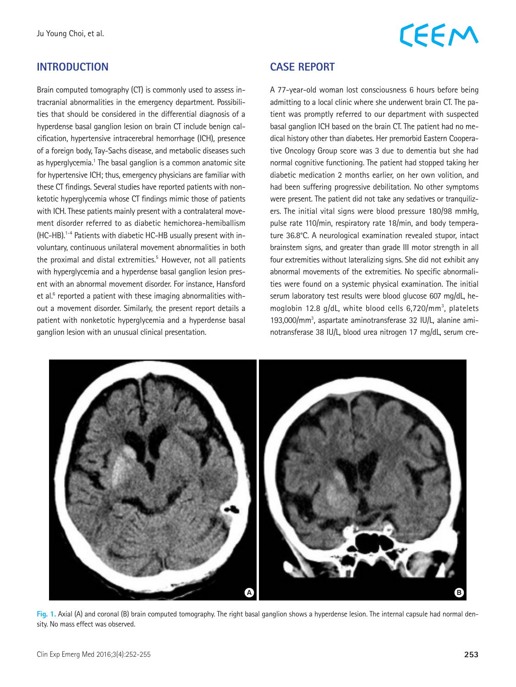#### **INTRODUCTION**

Brain computed tomography (CT) is commonly used to assess intracranial abnormalities in the emergency department. Possibilities that should be considered in the differential diagnosis of a hyperdense basal ganglion lesion on brain CT include benign calcification, hypertensive intracerebral hemorrhage (ICH), presence of a foreign body, Tay-Sachs disease, and metabolic diseases such as hyperglycemia.<sup>1</sup> The basal ganglion is a common anatomic site for hypertensive ICH; thus, emergency physicians are familiar with these CT findings. Several studies have reported patients with nonketotic hyperglycemia whose CT findings mimic those of patients with ICH. These patients mainly present with a contralateral movement disorder referred to as diabetic hemichorea-hemiballism (HC-HB).1-4 Patients with diabetic HC-HB usually present with involuntary, continuous unilateral movement abnormalities in both the proximal and distal extremities.<sup>5</sup> However, not all patients with hyperglycemia and a hyperdense basal ganglion lesion present with an abnormal movement disorder. For instance, Hansford et al.<sup>6</sup> reported a patient with these imaging abnormalities without a movement disorder. Similarly, the present report details a patient with nonketotic hyperglycemia and a hyperdense basal ganglion lesion with an unusual clinical presentation.

# **CEEM**

### **CASE REPORT**

A 77-year-old woman lost consciousness 6 hours before being admitting to a local clinic where she underwent brain CT. The patient was promptly referred to our department with suspected basal ganglion ICH based on the brain CT. The patient had no medical history other than diabetes. Her premorbid Eastern Cooperative Oncology Group score was 3 due to dementia but she had normal cognitive functioning. The patient had stopped taking her diabetic medication 2 months earlier, on her own volition, and had been suffering progressive debilitation. No other symptoms were present. The patient did not take any sedatives or tranquilizers. The initial vital signs were blood pressure 180/98 mmHg, pulse rate 110/min, respiratory rate 18/min, and body temperature 36.8°C. A neurological examination revealed stupor, intact brainstem signs, and greater than grade III motor strength in all four extremities without lateralizing signs. She did not exhibit any abnormal movements of the extremities. No specific abnormalities were found on a systemic physical examination. The initial serum laboratory test results were blood glucose 607 mg/dL, hemoglobin 12.8 g/dL, white blood cells 6,720/mm<sup>3</sup>, platelets 193,000/mm3 , aspartate aminotransferase 32 IU/L, alanine aminotransferase 38 IU/L, blood urea nitrogen 17 mg/dL, serum cre-



**Fig. 1.** Axial (A) and coronal (B) brain computed tomography. The right basal ganglion shows a hyperdense lesion. The internal capsule had normal density. No mass effect was observed.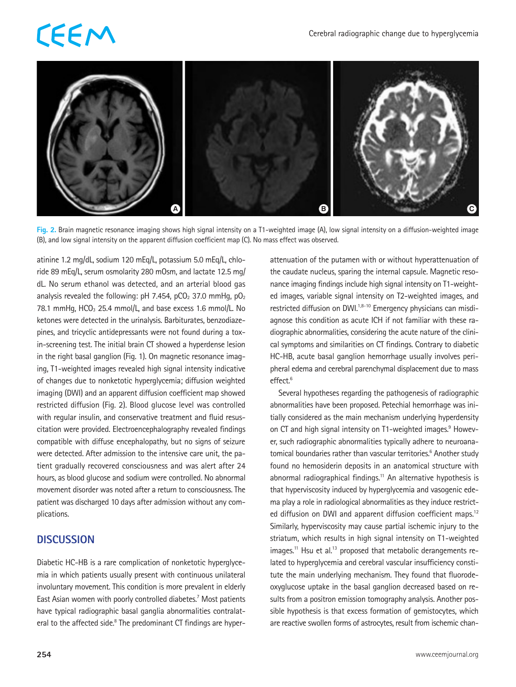# **CEEM**



**Fig. 2.** Brain magnetic resonance imaging shows high signal intensity on a T1-weighted image (A), low signal intensity on a diffusion-weighted image (B), and low signal intensity on the apparent diffusion coefficient map (C). No mass effect was observed.

atinine 1.2 mg/dL, sodium 120 mEq/L, potassium 5.0 mEq/L, chloride 89 mEq/L, serum osmolarity 280 mOsm, and lactate 12.5 mg/ dL. No serum ethanol was detected, and an arterial blood gas analysis revealed the following: pH 7.454, pCO<sub>2</sub> 37.0 mmHg, pO<sub>2</sub> 78.1 mmHg,  $HCO<sub>3</sub>$  25.4 mmol/L, and base excess 1.6 mmol/L. No ketones were detected in the urinalysis. Barbiturates, benzodiazepines, and tricyclic antidepressants were not found during a toxin-screening test. The initial brain CT showed a hyperdense lesion in the right basal ganglion (Fig. 1). On magnetic resonance imaging, T1-weighted images revealed high signal intensity indicative of changes due to nonketotic hyperglycemia; diffusion weighted imaging (DWI) and an apparent diffusion coefficient map showed restricted diffusion (Fig. 2). Blood glucose level was controlled with regular insulin, and conservative treatment and fluid resuscitation were provided. Electroencephalography revealed findings compatible with diffuse encephalopathy, but no signs of seizure were detected. After admission to the intensive care unit, the patient gradually recovered consciousness and was alert after 24 hours, as blood glucose and sodium were controlled. No abnormal movement disorder was noted after a return to consciousness. The patient was discharged 10 days after admission without any complications.

### **DISCUSSION**

Diabetic HC-HB is a rare complication of nonketotic hyperglycemia in which patients usually present with continuous unilateral involuntary movement. This condition is more prevalent in elderly East Asian women with poorly controlled diabetes.<sup>7</sup> Most patients have typical radiographic basal ganglia abnormalities contralateral to the affected side.<sup>8</sup> The predominant CT findings are hyperattenuation of the putamen with or without hyperattenuation of the caudate nucleus, sparing the internal capsule. Magnetic resonance imaging findings include high signal intensity on T1-weighted images, variable signal intensity on T2-weighted images, and restricted diffusion on DWI.<sup>1,8-10</sup> Emergency physicians can misdiagnose this condition as acute ICH if not familiar with these radiographic abnormalities, considering the acute nature of the clinical symptoms and similarities on CT findings. Contrary to diabetic HC-HB, acute basal ganglion hemorrhage usually involves peripheral edema and cerebral parenchymal displacement due to mass effect.<sup>6</sup>

Several hypotheses regarding the pathogenesis of radiographic abnormalities have been proposed. Petechial hemorrhage was initially considered as the main mechanism underlying hyperdensity on CT and high signal intensity on T1-weighted images.<sup>9</sup> However, such radiographic abnormalities typically adhere to neuroanatomical boundaries rather than vascular territories.<sup>6</sup> Another study found no hemosiderin deposits in an anatomical structure with abnormal radiographical findings.<sup>11</sup> An alternative hypothesis is that hyperviscosity induced by hyperglycemia and vasogenic edema play a role in radiological abnormalities as they induce restricted diffusion on DWI and apparent diffusion coefficient maps.<sup>12</sup> Similarly, hyperviscosity may cause partial ischemic injury to the striatum, which results in high signal intensity on T1-weighted images.<sup>11</sup> Hsu et al.<sup>13</sup> proposed that metabolic derangements related to hyperglycemia and cerebral vascular insufficiency constitute the main underlying mechanism. They found that fluorodeoxyglucose uptake in the basal ganglion decreased based on results from a positron emission tomography analysis. Another possible hypothesis is that excess formation of gemistocytes, which are reactive swollen forms of astrocytes, result from ischemic chan-